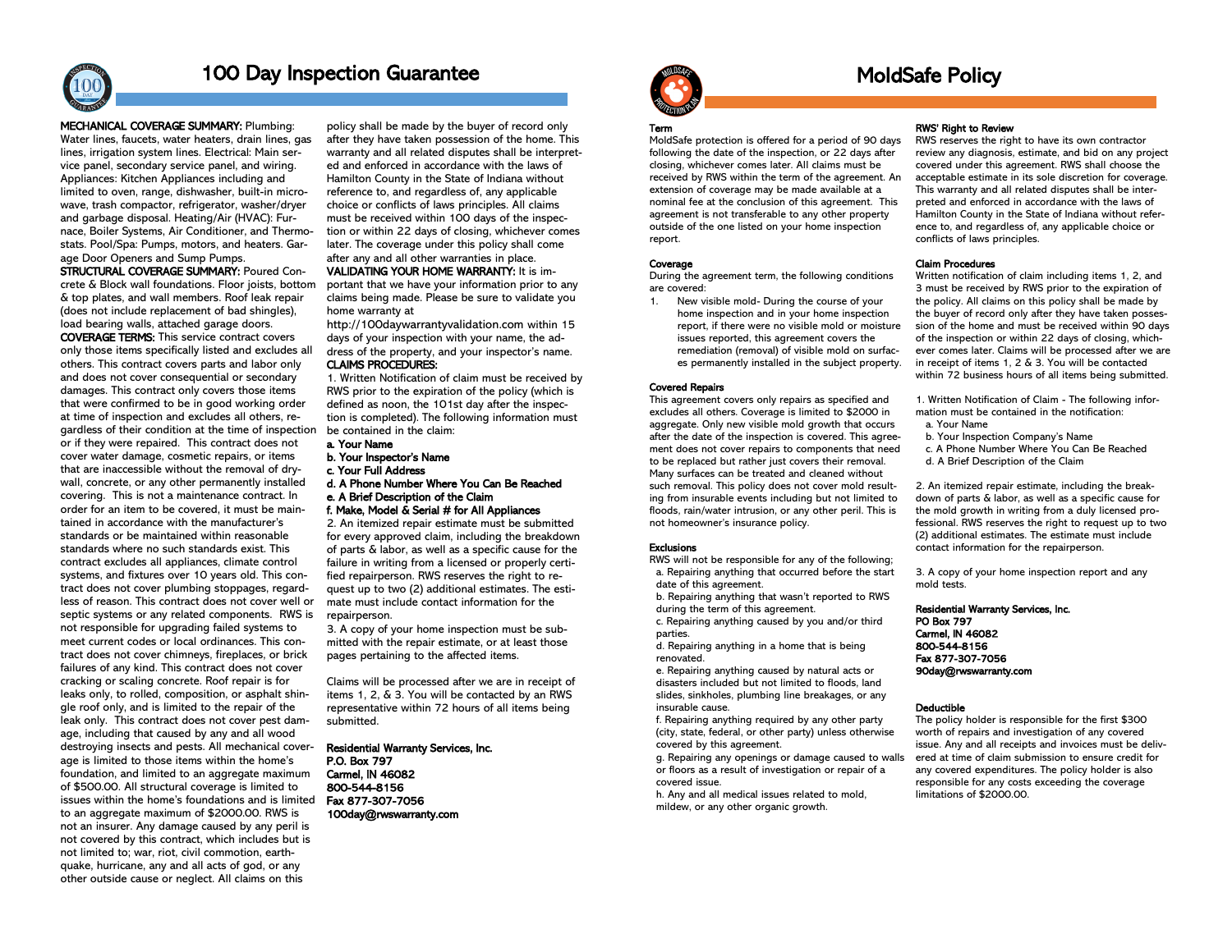

### 100 Day Inspection Guarantee

### MECHANICAL COVERAGE SUMMARY: Plumbing:

Water lines, faucets, water heaters, drain lines, gas lines, irrigation system lines. Electrical: Main service panel, secondary service panel, and wiring. Appliances: Kitchen Appliances including and limited to oven, range, dishwasher, built-in microwave, trash compactor, refrigerator, washer/dryer and garbage disposal. Heating/Air (HVAC): Furnace, Boiler Systems, Air Conditioner, and Thermostats. Pool/Spa: Pumps, motors, and heaters. Garage Door Openers and Sump Pumps.

STRUCTURAL COVERAGE SUMMARY: Poured Concrete & Block wall foundations. Floor joists, bottom & top plates, and wall members. Roof leak repair (does not include replacement of bad shingles), load bearing walls, attached garage doors.

COVERAGE TERMS: This service contract covers only those items specifically listed and excludes all others. This contract covers parts and labor only and does not cover consequential or secondary damages. This contract only covers those items that were confirmed to be in good working order at time of inspection and excludes all others, regardless of their condition at the time of inspection or if they were repaired. This contract does not cover water damage, cosmetic repairs, or items that are inaccessible without the removal of drywall, concrete, or any other permanently installed covering. This is not a maintenance contract. In order for an item to be covered, it must be maintained in accordance with the manufacturer's standards or be maintained within reasonable standards where no such standards exist. This contract excludes all appliances, climate control systems, and fixtures over 10 years old. This contract does not cover plumbing stoppages, regardless of reason. This contract does not cover well or septic systems or any related components. RWS is not responsible for upgrading failed systems to meet current codes or local ordinances. This contract does not cover chimneys, fireplaces, or brick failures of any kind. This contract does not cover cracking or scaling concrete. Roof repair is for leaks only, to rolled, composition, or asphalt shingle roof only, and is limited to the repair of the leak only. This contract does not cover pest damage, including that caused by any and all wood destroying insects and pests. All mechanical coverage is limited to those items within the home's foundation, and limited to an aggregate maximum of \$500.00. All structural coverage is limited to issues within the home's foundations and is limited to an aggregate maximum of \$2000.00. RWS is not an insurer. Any damage caused by any peril is not covered by this contract, which includes but is not limited to; war, riot, civil commotion, earthquake, hurricane, any and all acts of god, or any other outside cause or neglect. All claims on this

policy shall be made by the buyer of record only after they have taken possession of the home. This warranty and all related disputes shall be interpreted and enforced in accordance with the laws of Hamilton County in the State of Indiana without reference to, and regardless of, any applicable choice or conflicts of laws principles. All claims must be received within 100 days of the inspection or within 22 days of closing, whichever comes later. The coverage under this policy shall come after any and all other warranties in place.

### VALIDATING YOUR HOME WARRANTY: It is im-

portant that we have your information prior to any claims being made. Please be sure to validate you home warranty at

http://100daywarrantyvalidation.com within 15 days of your inspection with your name, the address of the property, and your inspector's name. CLAIMS PROCEDURES:

1. Written Notification of claim must be received by RWS prior to the expiration of the policy (which is defined as noon, the 101st day after the inspection is completed). The following information must be contained in the claim:

- a. Your Name
- b. Your Inspector's Name
- c. Your Full Address
- d. A Phone Number Where You Can Be Reached e. A Brief Description of the Claim
- f. Make, Model & Serial # for All Appliances

2. An itemized repair estimate must be submitted for every approved claim, including the breakdown of parts & labor, as well as a specific cause for the failure in writing from a licensed or properly certified repairperson. RWS reserves the right to request up to two (2) additional estimates. The estimate must include contact information for the repairperson.

3. A copy of your home inspection must be submitted with the repair estimate, or at least those pages pertaining to the affected items.

Claims will be processed after we are in receipt of items 1, 2, & 3. You will be contacted by an RWS representative within 72 hours of all items being submitted.

Residential Warranty Services, Inc.

P.O. Box 797 Carmel, IN 46082 800-544-8156 Fax 877-307-7056 100day@rwswarranty.com



### MoldSafe Policy

#### Term

MoldSafe protection is offered for a period of 90 days following the date of the inspection, or 22 days after closing, whichever comes later. All claims must be received by RWS within the term of the agreement. An extension of coverage may be made available at a nominal fee at the conclusion of this agreement. This agreement is not transferable to any other property outside of the one listed on your home inspection report.

### **Coverage**

During the agreement term, the following conditions are covered:

1. New visible mold- During the course of your home inspection and in your home inspection report, if there were no visible mold or moisture issues reported, this agreement covers the remediation (removal) of visible mold on surfaces permanently installed in the subject property.

### Covered Repairs

This agreement covers only repairs as specified and excludes all others. Coverage is limited to \$2000 in aggregate. Only new visible mold growth that occurs after the date of the inspection is covered. This agreement does not cover repairs to components that need to be replaced but rather just covers their removal. Many surfaces can be treated and cleaned without such removal. This policy does not cover mold resulting from insurable events including but not limited to floods, rain/water intrusion, or any other peril. This is not homeowner's insurance policy.

#### **Exclusions**

RWS will not be responsible for any of the following; a. Repairing anything that occurred before the start date of this agreement.

 b. Repairing anything that wasn't reported to RWS during the term of this agreement.

 c. Repairing anything caused by you and/or third parties.

 d. Repairing anything in a home that is being renovated.

 e. Repairing anything caused by natural acts or disasters included but not limited to floods, land slides, sinkholes, plumbing line breakages, or any insurable cause.

 f. Repairing anything required by any other party (city, state, federal, or other party) unless otherwise covered by this agreement.

 g. Repairing any openings or damage caused to walls or floors as a result of investigation or repair of a covered issue.

 h. Any and all medical issues related to mold, mildew, or any other organic growth.

#### RWS' Right to Review

RWS reserves the right to have its own contractor review any diagnosis, estimate, and bid on any project covered under this agreement. RWS shall choose the acceptable estimate in its sole discretion for coverage. This warranty and all related disputes shall be interpreted and enforced in accordance with the laws of Hamilton County in the State of Indiana without reference to, and regardless of, any applicable choice or conflicts of laws principles.

### Claim Procedures

Written notification of claim including items 1, 2, and 3 must be received by RWS prior to the expiration of the policy. All claims on this policy shall be made by the buyer of record only after they have taken possession of the home and must be received within 90 days of the inspection or within 22 days of closing, whichever comes later. Claims will be processed after we are in receipt of items 1, 2 & 3. You will be contacted within 72 business hours of all items being submitted.

1. Written Notification of Claim - The following information must be contained in the notification: a. Your Name

- b. Your Inspection Company's Name
- c. A Phone Number Where You Can Be Reached d. A Brief Description of the Claim

2. An itemized repair estimate, including the breakdown of parts & labor, as well as a specific cause for the mold growth in writing from a duly licensed professional. RWS reserves the right to request up to two (2) additional estimates. The estimate must include contact information for the repairperson.

3. A copy of your home inspection report and any mold tests.

Residential Warranty Services, Inc. PO Box 797 Carmel, IN 46082 800-544-8156 Fax 877-307-7056 90day@rwswarranty.com

#### Deductible

The policy holder is responsible for the first \$300 worth of repairs and investigation of any covered issue. Any and all receipts and invoices must be delivered at time of claim submission to ensure credit for any covered expenditures. The policy holder is also responsible for any costs exceeding the coverage limitations of \$2000.00.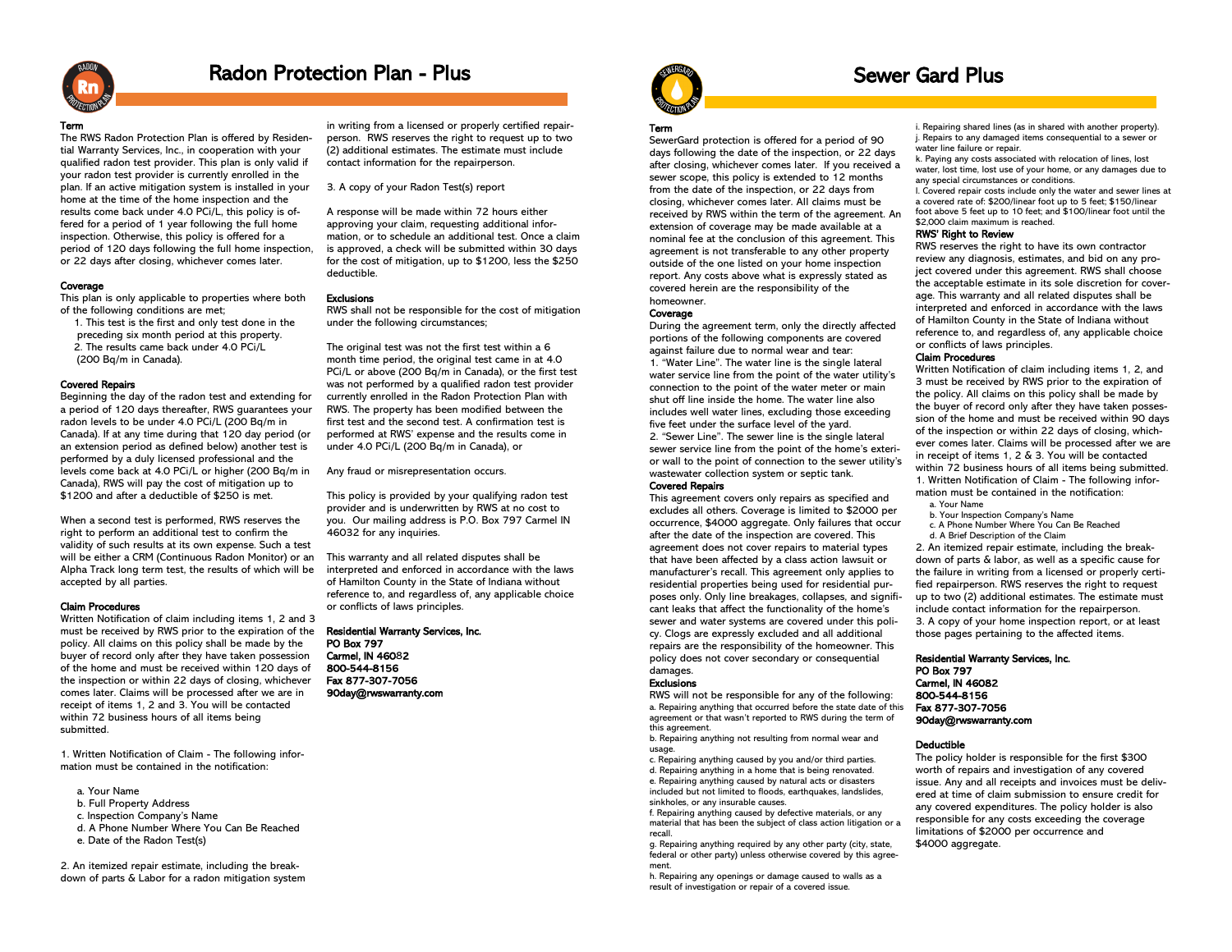

### Radon Protection Plan - Plus

#### Term

The RWS Radon Protection Plan is offered by Residential Warranty Services, Inc., in cooperation with your qualified radon test provider. This plan is only valid if your radon test provider is currently enrolled in the plan. If an active mitigation system is installed in your home at the time of the home inspection and the results come back under 4.0 PCi/L, this policy is offered for a period of 1 year following the full home inspection. Otherwise, this policy is offered for a period of 120 days following the full home inspection, or 22 days after closing, whichever comes later.

### **Coverage**

This plan is only applicable to properties where both of the following conditions are met;

 1. This test is the first and only test done in the preceding six month period at this property. 2. The results came back under 4.0 PCi/L (200 Bq/m in Canada).

### Covered Repairs

Beginning the day of the radon test and extending for a period of 120 days thereafter, RWS guarantees your radon levels to be under 4.0 PCi/L (200 Bq/m in Canada). If at any time during that 120 day period (or an extension period as defined below) another test is performed by a duly licensed professional and the levels come back at 4.0 PCi/L or higher (200 Bq/m in Canada), RWS will pay the cost of mitigation up to \$1200 and after a deductible of \$250 is met.

When a second test is performed, RWS reserves the right to perform an additional test to confirm the validity of such results at its own expense. Such a test will be either a CRM (Continuous Radon Monitor) or an Alpha Track long term test, the results of which will be accepted by all parties.

### Claim Procedures

Written Notification of claim including items 1, 2 and 3 must be received by RWS prior to the expiration of the policy. All claims on this policy shall be made by the buyer of record only after they have taken possession of the home and must be received within 120 days of the inspection or within 22 days of closing, whichever comes later. Claims will be processed after we are in receipt of items 1, 2 and 3. You will be contacted within 72 business hours of all items being submitted.

1. Written Notification of Claim - The following information must be contained in the notification:

- a. Your Name
- b. Full Property Address
- c. Inspection Company's Name
- d. A Phone Number Where You Can Be Reached
- e. Date of the Radon Test(s)

2. An itemized repair estimate, including the breakdown of parts & Labor for a radon mitigation system

in writing from a licensed or properly certified repairperson. RWS reserves the right to request up to two (2) additional estimates. The estimate must include contact information for the repairperson.

3. A copy of your Radon Test(s) report

A response will be made within 72 hours either approving your claim, requesting additional information, or to schedule an additional test. Once a claim is approved, a check will be submitted within 30 days for the cost of mitigation, up to \$1200, less the \$250 deductible.

### Exclusions

RWS shall not be responsible for the cost of mitigation under the following circumstances;

The original test was not the first test within a 6 month time period, the original test came in at 4.0 PCi/L or above (200 Bq/m in Canada), or the first test was not performed by a qualified radon test provider currently enrolled in the Radon Protection Plan with RWS. The property has been modified between the first test and the second test. A confirmation test is performed at RWS' expense and the results come in under 4.0 PCi/L (200 Bq/m in Canada), or

Any fraud or misrepresentation occurs.

This policy is provided by your qualifying radon test provider and is underwritten by RWS at no cost to you. Our mailing address is P.O. Box 797 Carmel IN 46032 for any inquiries.

This warranty and all related disputes shall be interpreted and enforced in accordance with the laws of Hamilton County in the State of Indiana without reference to, and regardless of, any applicable choice or conflicts of laws principles.

### Residential Warranty Services, Inc.

PO Box 797 Carmel, IN 46082 800-544-8156 Fax 877-307-7056 90day@rwswarranty.com



### Sewer Gard Plus

### Term

SewerGard protection is offered for a period of 90 days following the date of the inspection, or 22 days after closing, whichever comes later. If you received a sewer scope, this policy is extended to 12 months from the date of the inspection, or 22 days from closing, whichever comes later. All claims must be received by RWS within the term of the agreement. An extension of coverage may be made available at a nominal fee at the conclusion of this agreement. This agreement is not transferable to any other property outside of the one listed on your home inspection report. Any costs above what is expressly stated as covered herein are the responsibility of the homeowner.

### **Coverage**

During the agreement term, only the directly affected portions of the following components are covered against failure due to normal wear and tear: 1. "Water Line". The water line is the single lateral water service line from the point of the water utility's connection to the point of the water meter or main shut off line inside the home. The water line also includes well water lines, excluding those exceeding five feet under the surface level of the yard. 2. "Sewer Line". The sewer line is the single lateral sewer service line from the point of the home's exterior wall to the point of connection to the sewer utility's wastewater collection system or septic tank.

### Covered Repairs

This agreement covers only repairs as specified and excludes all others. Coverage is limited to \$2000 per occurrence, \$4000 aggregate. Only failures that occur after the date of the inspection are covered. This agreement does not cover repairs to material types that have been affected by a class action lawsuit or manufacturer's recall. This agreement only applies to residential properties being used for residential purposes only. Only line breakages, collapses, and significant leaks that affect the functionality of the home's sewer and water systems are covered under this policy. Clogs are expressly excluded and all additional repairs are the responsibility of the homeowner. This policy does not cover secondary or consequential damages

### **Exclusions**

RWS will not be responsible for any of the following: a. Repairing anything that occurred before the state date of this agreement or that wasn't reported to RWS during the term of this agreement.

b. Repairing anything not resulting from normal wear and usage.

c. Repairing anything caused by you and/or third parties. d. Repairing anything in a home that is being renovated. e. Repairing anything caused by natural acts or disasters

included but not limited to floods, earthquakes, landslides, sinkholes, or any insurable causes.

f. Repairing anything caused by defective materials, or any material that has been the subject of class action litigation or a recall.

g. Repairing anything required by any other party (city, state, federal or other party) unless otherwise covered by this agreement.

h. Repairing any openings or damage caused to walls as a result of investigation or repair of a covered issue.

i. Repairing shared lines (as in shared with another property). j. Repairs to any damaged items consequential to a sewer or water line failure or repair.

k. Paying any costs associated with relocation of lines, lost water, lost time, lost use of your home, or any damages due to any special circumstances or conditions.

l. Covered repair costs include only the water and sewer lines at a covered rate of: \$200/linear foot up to 5 feet; \$150/linear foot above 5 feet up to 10 feet; and \$100/linear foot until the \$2,000 claim maximum is reached.

### RWS' Right to Review

RWS reserves the right to have its own contractor review any diagnosis, estimates, and bid on any project covered under this agreement. RWS shall choose the acceptable estimate in its sole discretion for coverage. This warranty and all related disputes shall be interpreted and enforced in accordance with the laws of Hamilton County in the State of Indiana without reference to, and regardless of, any applicable choice or conflicts of laws principles.

### Claim Procedures

Written Notification of claim including items 1, 2, and 3 must be received by RWS prior to the expiration of the policy. All claims on this policy shall be made by the buyer of record only after they have taken possession of the home and must be received within 90 days of the inspection or within 22 days of closing, whichever comes later. Claims will be processed after we are in receipt of items 1, 2 & 3. You will be contacted within 72 business hours of all items being submitted. 1. Written Notification of Claim - The following infor-

- mation must be contained in the notification: a. Your Name
- b. Your Inspection Company's Name
- c. A Phone Number Where You Can Be Reached
- d. A Brief Description of the Claim

2. An itemized repair estimate, including the breakdown of parts & labor, as well as a specific cause for the failure in writing from a licensed or properly certified repairperson. RWS reserves the right to request up to two (2) additional estimates. The estimate must include contact information for the repairperson. 3. A copy of your home inspection report, or at least those pages pertaining to the affected items.

Residential Warranty Services, Inc. PO Box 797 Carmel, IN 46082 800-544-8156 Fax 877-307-7056 90day@rwswarranty.com

#### Deductible

The policy holder is responsible for the first \$300 worth of repairs and investigation of any covered issue. Any and all receipts and invoices must be delivered at time of claim submission to ensure credit for any covered expenditures. The policy holder is also responsible for any costs exceeding the coverage limitations of \$2000 per occurrence and \$4000 aggregate.